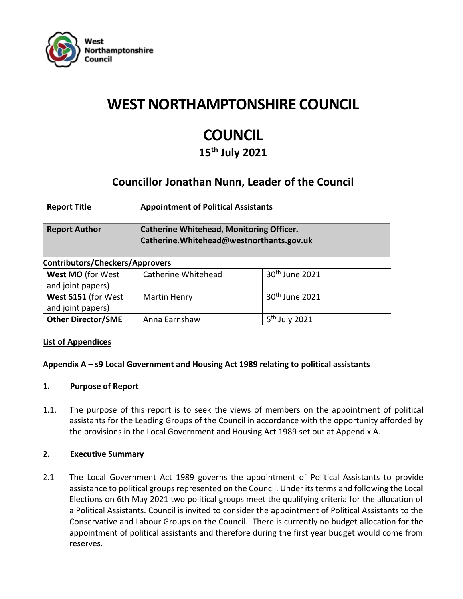

## **WEST NORTHAMPTONSHIRE COUNCIL**

# **COUNCIL**

**15th July 2021**

### **Councillor Jonathan Nunn, Leader of the Council**

| <b>Report Title</b>  | <b>Appointment of Political Assistants</b>                                                   |
|----------------------|----------------------------------------------------------------------------------------------|
| <b>Report Author</b> | <b>Catherine Whitehead, Monitoring Officer.</b><br>Catherine. Whitehead@westnorthants.gov.uk |

| <b>Contributors/Checkers/Approvers</b> |                     |                           |  |
|----------------------------------------|---------------------|---------------------------|--|
| West MO (for West                      | Catherine Whitehead | $30th$ June 2021          |  |
| and joint papers)                      |                     |                           |  |
| West S151 (for West                    | <b>Martin Henry</b> | $30th$ June 2021          |  |
| and joint papers)                      |                     |                           |  |
| <b>Other Director/SME</b>              | Anna Earnshaw       | 5 <sup>th</sup> July 2021 |  |

#### **List of Appendices**

#### **Appendix A – s9 Local Government and Housing Act 1989 relating to political assistants**

#### **1. Purpose of Report**

1.1. The purpose of this report is to seek the views of members on the appointment of political assistants for the Leading Groups of the Council in accordance with the opportunity afforded by the provisions in the Local Government and Housing Act 1989 set out at Appendix A.

#### **2. Executive Summary**

2.1 The Local Government Act 1989 governs the appointment of Political Assistants to provide assistance to political groups represented on the Council. Under its terms and following the Local Elections on 6th May 2021 two political groups meet the qualifying criteria for the allocation of a Political Assistants. Council is invited to consider the appointment of Political Assistants to the Conservative and Labour Groups on the Council. There is currently no budget allocation for the appointment of political assistants and therefore during the first year budget would come from reserves.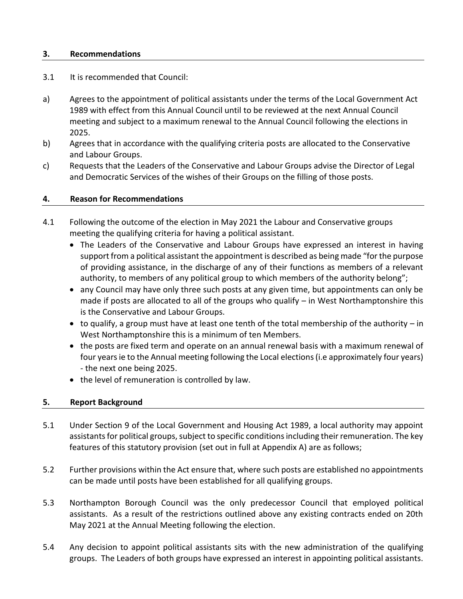#### **3. Recommendations**

- 3.1 It is recommended that Council:
- a) Agrees to the appointment of political assistants under the terms of the Local Government Act 1989 with effect from this Annual Council until to be reviewed at the next Annual Council meeting and subject to a maximum renewal to the Annual Council following the elections in 2025.
- b) Agrees that in accordance with the qualifying criteria posts are allocated to the Conservative and Labour Groups.
- c) Requests that the Leaders of the Conservative and Labour Groups advise the Director of Legal and Democratic Services of the wishes of their Groups on the filling of those posts.

#### **4. Reason for Recommendations**

- 4.1 Following the outcome of the election in May 2021 the Labour and Conservative groups meeting the qualifying criteria for having a political assistant.
	- The Leaders of the Conservative and Labour Groups have expressed an interest in having support from a political assistant the appointment is described as being made "for the purpose of providing assistance, in the discharge of any of their functions as members of a relevant authority, to members of any political group to which members of the authority belong";
	- any Council may have only three such posts at any given time, but appointments can only be made if posts are allocated to all of the groups who qualify – in West Northamptonshire this is the Conservative and Labour Groups.
	- $\bullet$  to qualify, a group must have at least one tenth of the total membership of the authority in West Northamptonshire this is a minimum of ten Members.
	- the posts are fixed term and operate on an annual renewal basis with a maximum renewal of four years ie to the Annual meeting following the Local elections (i.e approximately four years) - the next one being 2025.
	- the level of remuneration is controlled by law.

#### **5. Report Background**

- 5.1 Under Section 9 of the Local Government and Housing Act 1989, a local authority may appoint assistants for political groups, subject to specific conditions including their remuneration. The key features of this statutory provision (set out in full at Appendix A) are as follows;
- 5.2 Further provisions within the Act ensure that, where such posts are established no appointments can be made until posts have been established for all qualifying groups.
- 5.3 Northampton Borough Council was the only predecessor Council that employed political assistants. As a result of the restrictions outlined above any existing contracts ended on 20th May 2021 at the Annual Meeting following the election.
- 5.4 Any decision to appoint political assistants sits with the new administration of the qualifying groups. The Leaders of both groups have expressed an interest in appointing political assistants.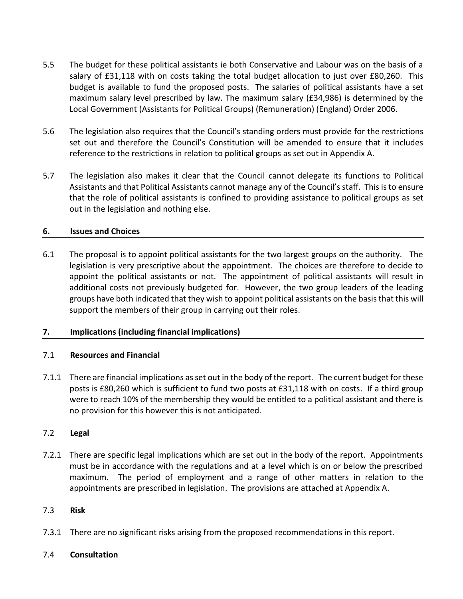- 5.5 The budget for these political assistants ie both Conservative and Labour was on the basis of a salary of £31,118 with on costs taking the total budget allocation to just over £80,260. This budget is available to fund the proposed posts. The salaries of political assistants have a set maximum salary level prescribed by law. The maximum salary (£34,986) is determined by the Local Government (Assistants for Political Groups) (Remuneration) (England) Order 2006.
- 5.6 The legislation also requires that the Council's standing orders must provide for the restrictions set out and therefore the Council's Constitution will be amended to ensure that it includes reference to the restrictions in relation to political groups as set out in Appendix A.
- 5.7 The legislation also makes it clear that the Council cannot delegate its functions to Political Assistants and that Political Assistants cannot manage any of the Council's staff. This is to ensure that the role of political assistants is confined to providing assistance to political groups as set out in the legislation and nothing else.

#### **6. Issues and Choices**

6.1 The proposal is to appoint political assistants for the two largest groups on the authority. The legislation is very prescriptive about the appointment. The choices are therefore to decide to appoint the political assistants or not. The appointment of political assistants will result in additional costs not previously budgeted for. However, the two group leaders of the leading groups have both indicated that they wish to appoint political assistants on the basis that this will support the members of their group in carrying out their roles.

#### **7. Implications (including financial implications)**

#### 7.1 **Resources and Financial**

7.1.1 There are financial implications as set out in the body of the report. The current budget for these posts is £80,260 which is sufficient to fund two posts at £31,118 with on costs. If a third group were to reach 10% of the membership they would be entitled to a political assistant and there is no provision for this however this is not anticipated.

#### 7.2 **Legal**

7.2.1 There are specific legal implications which are set out in the body of the report. Appointments must be in accordance with the regulations and at a level which is on or below the prescribed maximum. The period of employment and a range of other matters in relation to the appointments are prescribed in legislation. The provisions are attached at Appendix A.

#### 7.3 **Risk**

7.3.1 There are no significant risks arising from the proposed recommendations in this report.

#### 7.4 **Consultation**